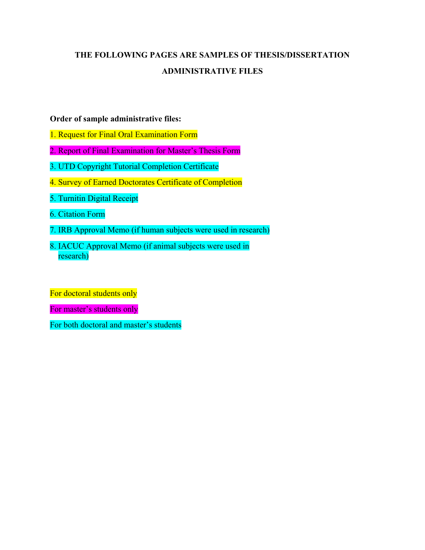## **THE FOLLOWING PAGES ARE SAMPLES OF THESIS/DISSERTATION ADMINISTRATIVE FILES**

### **Order of sample administrative files:**

- 1. Request for Final Oral Examination Form
- 2. Report of Final Examination for Master's Thesis Form
- 3. UTD Copyright Tutorial Completion Certificate
- 4. Survey of Earned Doctorates Certificate of Completion
- 5. Turnitin Digital Receipt
- 6. Citation Form
- 7. IRB Approval Memo (if human subjects were used in research)
- 8. IACUC Approval Memo (if animal subjects were used in research)

For doctoral students only

For master's students only

For both doctoral and master's students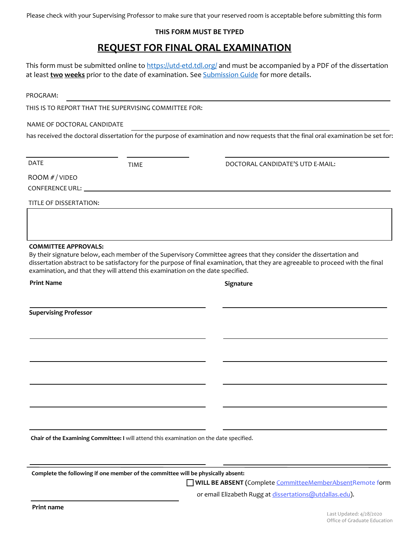Please check with your Supervising Professor to make sure that your reserved room is acceptable before submitting this form

### **THIS FORM MUST BE TYPED**

### **REQUEST FOR FINAL ORAL EXAMINATION**

This form must be submitted online to https://utd-etd.tdl.org/ and must be accompanied by a PDF of the dissertation at least **two weeks** prior to the date of examination. See Submission Guide for more details.

PROGRAM:

THIS IS TO REPORT THAT THE SUPERVISING COMMITTEE FOR:

NAME OF DOCTORAL CANDIDATE

has received the doctoral dissertation for the purpose of examination and now requests that the final oral examination be set for:

DATE

TIME DOCTORAL CANDIDATE'S UTD E-MAIL:

ROOM *# /* VIDEO CONFERENCE URL:

TITLE OF DISSERTATION:

#### **COMMITTEE APPROVALS:**

By their signature below, each member of the Supervisory Committee agrees that they consider the dissertation and dissertation abstract to be satisfactory for the purpose of final examination, that they are agreeable to proceed with the final examination, and that they will attend this examination on the date specified.

**Print Name Signature** 

**Supervising Professor**

**Chair of the Examining Committee: I** will attend this examination on the date specified.

**Complete the following if one member of the committee will be physically absent:**

**WILL BE ABSENT (**Complete CommitteeMemberAbsentRemote form

or email Elizabeth Rugg at dissertations@utdallas.edu).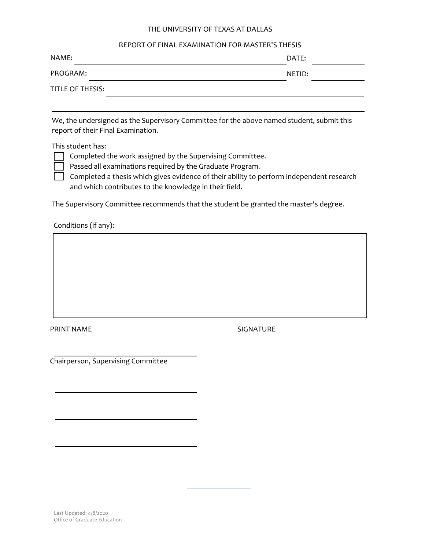#### THE UNIVERSITY OF TEXAS AT DALLAS

#### REPORT OF FINAL EXAMINATION FOR MASTER'S THESIS

| NAME:            | DATE:  |  |
|------------------|--------|--|
| PROGRAM:         | NETID: |  |
| TITLE OF THESIS: |        |  |

We, the undersigned as the Supervisory Committee for the above named student, submit this report of their Final Examination.

This student has:

Completed the work assigned by the Supervising Committee.

Passed all examinations required by the Graduate Program.

Completed a thesis which gives evidence of their ability to perform independent research and which contributes to the knowledge in their field.

The Supervisory Committee recommends that the student be granted the master's degree.

Conditions (if any):

PRINT NAME SIGNATURE

Chairperson, Supervising Committee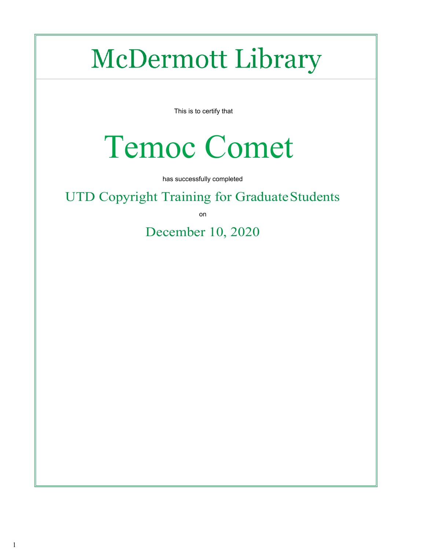# McDermott Library

This is to certify that

# Temoc Comet

has successfully completed

UTD Copyright Training for Graduate Students

on

December 10, 2020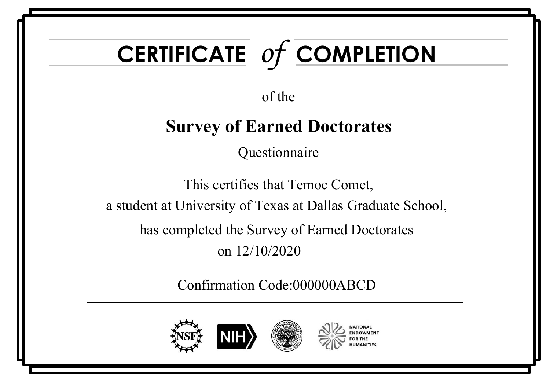# **CERTIFICATE** *of* **COMPLETION**

of the

# **Survey of Earned Doctorates**

Questionnaire

This certifies that Temoc Comet, a student at University of Texas at Dallas Graduate School, has completed the Survey of Earned Doctorates on 12/10/2020

Confirmation Code:000000ABCD

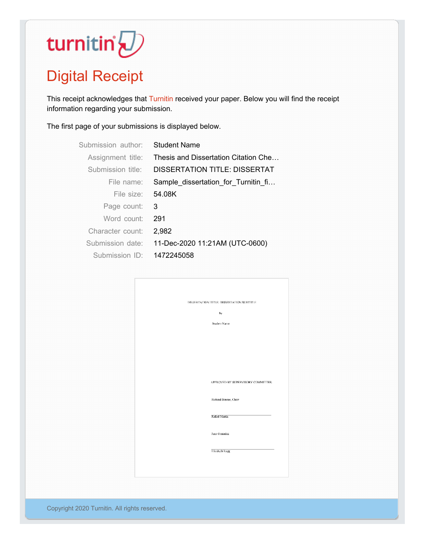# turnitin' $\bigcirc$

# Digital Receipt

This receipt acknowledges that Turnitin received your paper. Below you will find the receipt information regarding your submission.

The first page of your submissions is displayed below.

| Submission author | <b>Student Name</b>                  |
|-------------------|--------------------------------------|
| Assignment title: | Thesis and Dissertation Citation Che |
| Submission title: | DISSERTATION TITLE: DISSERTAT        |
| File name:        | Sample dissertation for Turnitin fi  |
| File size:        | 54.08K                               |
| Page count:       | 3                                    |
| Word count:       | 291                                  |
| Character count:  | 2,982                                |
| Submission date:  | 11-Dec-2020 11:21AM (UTC-0600)       |
| Submission $ID$   | 1472245058                           |

| DISSERTATION TITLE: DISSERTATION SUBTITLE |
|-------------------------------------------|
| by                                        |
|                                           |
| Student Name                              |
|                                           |
|                                           |
|                                           |
|                                           |
|                                           |
|                                           |
|                                           |
| APPROVED BY SUPERVISORY COMMITTEE:        |
|                                           |
| Richard Benson, Chair                     |
|                                           |
|                                           |
| Rafael Martin                             |
|                                           |
| Juan Gonzalez                             |
|                                           |
|                                           |
| Elizabeth Rugg                            |
|                                           |
|                                           |
|                                           |
|                                           |

Copyright 2020 Turnitin. All rights reserved.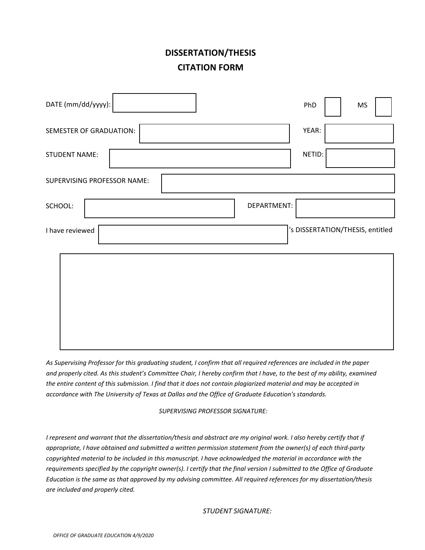### **DISSERTATION/THESIS CITATION FORM**

| DATE (mm/dd/yyyy):          | PhD<br><b>MS</b>                 |
|-----------------------------|----------------------------------|
| SEMESTER OF GRADUATION:     | YEAR:                            |
| <b>STUDENT NAME:</b>        | NETID:                           |
| SUPERVISING PROFESSOR NAME: |                                  |
| SCHOOL:                     | DEPARTMENT:                      |
| I have reviewed             | 's DISSERTATION/THESIS, entitled |
|                             |                                  |
|                             |                                  |
|                             |                                  |
|                             |                                  |

*As Supervising Professor for this graduating student, I confirm that all required references are included in the paper and properly cited. As this student's Committee Chair, I hereby confirm that I have, to the best of my ability, examined the entire content of this submission. I find that it does not contain plagiarized material and may be accepted in accordance with The University of Texas at Dallas and the Office of Graduate Education's standards.*

*SUPERVISING PROFESSOR SIGNATURE:*

*I represent and warrant that the dissertation/thesis and abstract are my original work. I also hereby certify that if appropriate, I have obtained and submitted a written permission statement from the owner(s) of each third-party copyrighted material to be included in this manuscript. I have acknowledged the material in accordance with the requirements specified by the copyright owner(s). I certify that the final version I submitted to the Office of Graduate Education is the same as that approved by my advising committee. All required references for my dissertation/thesis are included and properly cited.*

*STUDENT SIGNATURE:*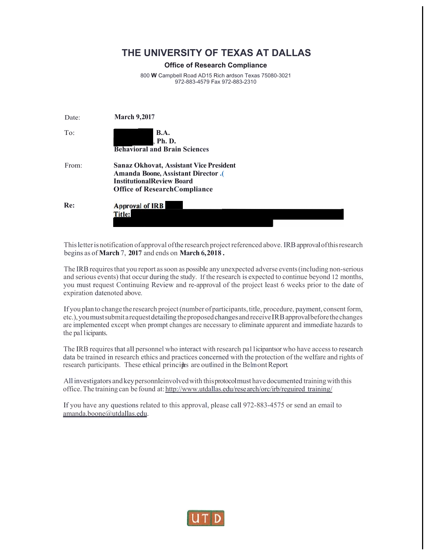### **THE UNIVERSITY OF TEXAS AT DALLAS**

#### **Office of Research Compliance**

800 **W** Campbell Road AD15 Rich ardson Texas 75080-3021 972-883-4579 Fax 972-883-2310

| Date: | <b>March 9,2017</b>                                                                                                                                            |
|-------|----------------------------------------------------------------------------------------------------------------------------------------------------------------|
| To:   | <b>B.A.</b><br>, Ph. D.<br><b>Behavioral and Brain Sciences</b>                                                                                                |
| From: | <b>Sanaz Okhovat, Assistant Vice President</b><br>Amanda Boone, Assistant Director.<br><b>InstitutionalReview Board</b><br><b>Office of ResearchCompliance</b> |
| Re:   | <b>Approval of IRB</b><br><b>Title:</b>                                                                                                                        |

This letter is notification of approval of the research project referenced above. IRB approval of this research begins as of **March** 7, **2017** and ends on **March 6,2018 .**

The IRB requires that you report as soon as possible any unexpected adverse events (including non-serious and serious events) that occur during the study. If the research is expected to continue beyond 12 months, you must request Continuing Review and re-approval of the project least 6 weeks prior to the date of expiration datenoted above.

If you plan to change the research project (number of participants, title, procedure, payment, consent form, etc.),youmustsubmitarequestdetailing theproposedchangesandreceiveIRBapprovalbeforethechanges are implemented except when prompt changes are necessary to eliminate apparent and immediate hazards to the pa11icipants.

The IRB requires that all personnel who interact with research pallicipantsor who have access to research data be trained in research ethics and practices concerned with the protection of the welfare and rights of research participants. These ethical principles are outlined in the Belmont Report.

All investigators andkeypersonnleinvolvedwith thisprotocolmust havedocumented trainingwith this office. The training can be found at: http://www.utdallas.edu/research/orc/irb/reguired training/

If you have any questions related to this approval, please call 972-883-4575 or send an email to [amanda.boone@utdallas.edu.](mailto:amanda.boone@utdallas.edu)